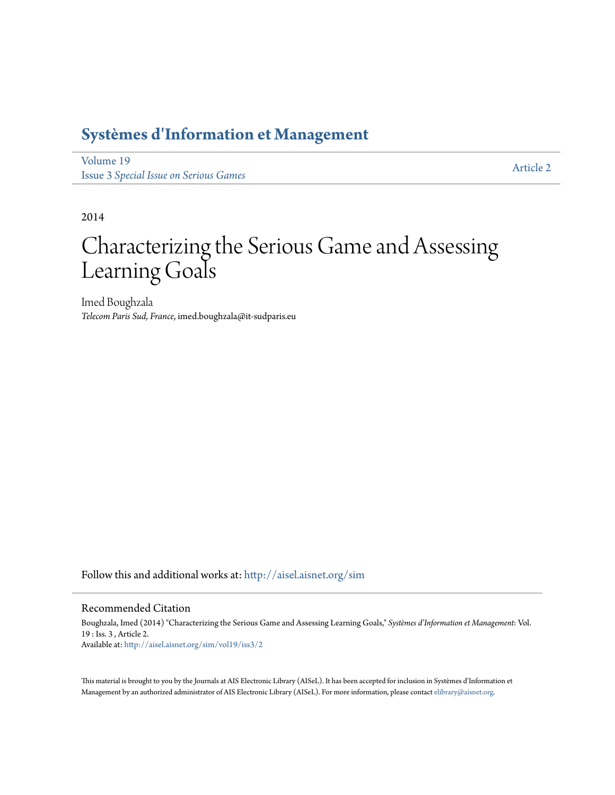# **[Systèmes d'Information et Management](http://aisel.aisnet.org/sim?utm_source=aisel.aisnet.org%2Fsim%2Fvol19%2Fiss3%2F2&utm_medium=PDF&utm_campaign=PDFCoverPages)**

[Volume 19](http://aisel.aisnet.org/sim/vol19?utm_source=aisel.aisnet.org%2Fsim%2Fvol19%2Fiss3%2F2&utm_medium=PDF&utm_campaign=PDFCoverPages) Issue 3 *[Special Issue on Serious Games](http://aisel.aisnet.org/sim/vol19/iss3?utm_source=aisel.aisnet.org%2Fsim%2Fvol19%2Fiss3%2F2&utm_medium=PDF&utm_campaign=PDFCoverPages)*

[Article 2](http://aisel.aisnet.org/sim/vol19/iss3/2?utm_source=aisel.aisnet.org%2Fsim%2Fvol19%2Fiss3%2F2&utm_medium=PDF&utm_campaign=PDFCoverPages)

2014

# Characterizing the Serious Game and Assessing Learning Goals

Imed Boughzala *Telecom Paris Sud, France*, imed.boughzala@it-sudparis.eu

Follow this and additional works at: [http://aisel.aisnet.org/sim](http://aisel.aisnet.org/sim?utm_source=aisel.aisnet.org%2Fsim%2Fvol19%2Fiss3%2F2&utm_medium=PDF&utm_campaign=PDFCoverPages)

#### Recommended Citation

Boughzala, Imed (2014) "Characterizing the Serious Game and Assessing Learning Goals," *Systèmes d'Information et Management*: Vol. 19 : Iss. 3 , Article 2. Available at: [http://aisel.aisnet.org/sim/vol19/iss3/2](http://aisel.aisnet.org/sim/vol19/iss3/2?utm_source=aisel.aisnet.org%2Fsim%2Fvol19%2Fiss3%2F2&utm_medium=PDF&utm_campaign=PDFCoverPages)

This material is brought to you by the Journals at AIS Electronic Library (AISeL). It has been accepted for inclusion in Systèmes d'Information et Management by an authorized administrator of AIS Electronic Library (AISeL). For more information, please contact [elibrary@aisnet.org](mailto:elibrary@aisnet.org%3E).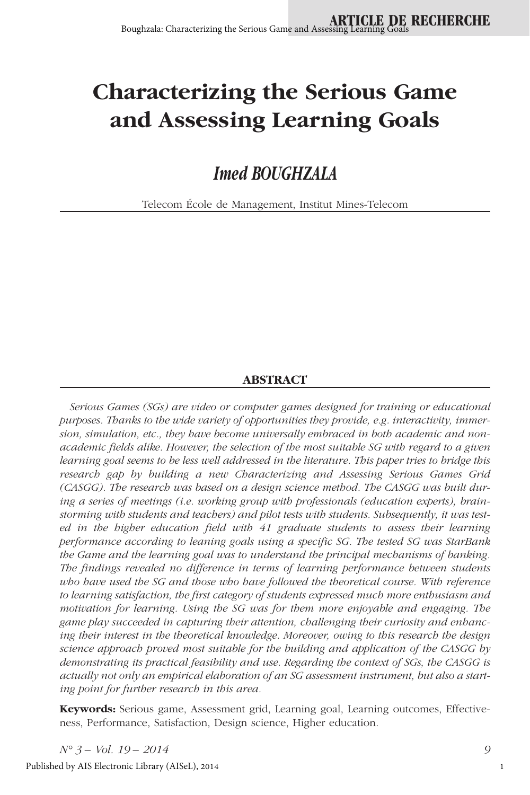# **Characterizing the Serious Game and Assessing Learning Goals**

*Imed BOUGHZALA*

Telecom École de Management, Institut Mines-Telecom

#### **ABSTRACT**

*Serious Games (SGs) are video or computer games designed for training or educational purposes. Thanks to the wide variety of opportunities they provide, e.g. interactivity, immersion, simulation, etc., they have become universally embraced in both academic and nonacademic fields alike. However, the selection of the most suitable SG with regard to a given learning goal seems to be less well addressed in the literature. This paper tries to bridge this research gap by building a new Characterizing and Assessing Serious Games Grid (CASGG). The research was based on a design science method. The CASGG was built during a series of meetings (i.e. working group with professionals (education experts), brainstorming with students and teachers) and pilot tests with students. Subsequently, it was tested in the higher education field with 41 graduate students to assess their learning performance according to leaning goals using a specific SG. The tested SG was StarBank the Game and the learning goal was to understand the principal mechanisms of banking. The findings revealed no difference in terms of learning performance between students who have used the SG and those who have followed the theoretical course. With reference to learning satisfaction, the first category of students expressed much more enthusiasm and motivation for learning. Using the SG was for them more enjoyable and engaging. The game play succeeded in capturing their attention, challenging their curiosity and enhancing their interest in the theoretical knowledge. Moreover, owing to this research the design science approach proved most suitable for the building and application of the CASGG by demonstrating its practical feasibility and use. Regarding the context of SGs, the CASGG is actually not only an empirical elaboration of an SG assessment instrument, but also a starting point for further research in this area.*

**Keywords:** Serious game, Assessment grid, Learning goal, Learning outcomes, Effectiveness, Performance, Satisfaction, Design science, Higher education.

*N° 3 – Vol. 19 – 2014 9* Published by AIS Electronic Library (AISeL), 2014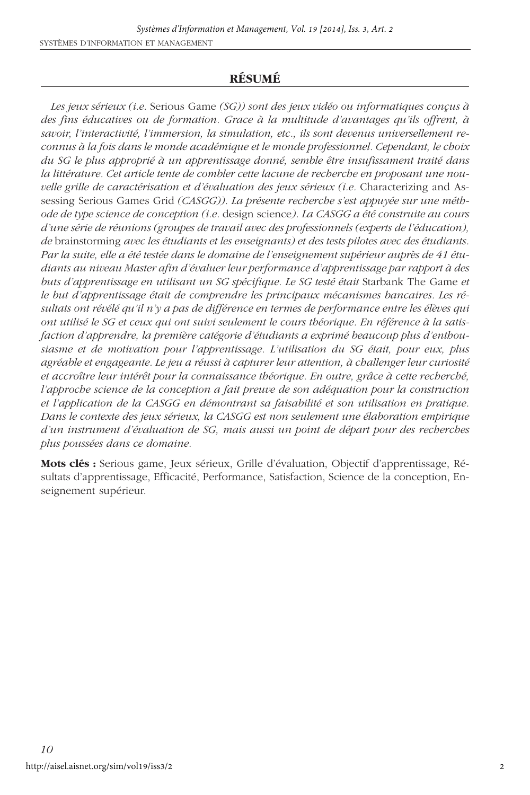#### **RÉSUMÉ**

*Les jeux sérieux (i.e.* Serious Game *(SG)) sont des jeux vidéo ou informatiques conçus à des fins éducatives ou de formation. Grace à la multitude d'avantages qu'ils offrent, à savoir, l'interactivité, l'immersion, la simulation, etc., ils sont devenus universellement reconnus à la fois dans le monde académique et le monde professionnel. Cependant, le choix du SG le plus approprié à un apprentissage donné, semble être insufissament traité dans la littérature. Cet article tente de combler cette lacune de recherche en proposant une nouvelle grille de caractérisation et d'évaluation des jeux sérieux (i.e. Characterizing and As*sessing Serious Games Grid *(CASGG)). La présente recherche s'est appuyée sur une méthode de type science de conception (i.e.* design science*). La CASGG a été construite au cours d'une série de réunions (groupes de travail avec des professionnels (experts de l'éducation), de* brainstorming *avec les étudiants et les enseignants) et des tests pilotes avec des étudiants. Par la suite, elle a été testée dans le domaine de l'enseignement supérieur auprès de 41 étudiants au niveau Master afin d'évaluer leur performance d'apprentissage par rapport à des buts d'apprentissage en utilisant un SG spécifique. Le SG testé était Starbank The Game et le but d'apprentissage était de comprendre les principaux mécanismes bancaires. Les résultats ont révélé qu'il n'y a pas de différence en termes de performance entre les élèves qui ont utilisé le SG et ceux qui ont suivi seulement le cours théorique. En référence à la satisfaction d'apprendre, la première catégorie d'étudiants a exprimé beaucoup plus d'enthousiasme et de motivation pour l'apprentissage. L'utilisation du SG était, pour eux, plus agréable et engageante. Le jeu a réussi à capturer leur attention, à challenger leur curiosité et accroître leur intérêt pour la connaissance théorique. En outre, grâce à cette recherché, l'approche science de la conception a fait preuve de son adéquation pour la construction et l'application de la CASGG en démontrant sa faisabilité et son utilisation en pratique. Dans le contexte des jeux sérieux, la CASGG est non seulement une élaboration empirique d'un instrument d'évaluation de SG, mais aussi un point de départ pour des recherches plus poussées dans ce domaine.*

**Mots clés :** Serious game, Jeux sérieux, Grille d'évaluation, Objectif d'apprentissage, Résultats d'apprentissage, Efficacité, Performance, Satisfaction, Science de la conception, Enseignement supérieur.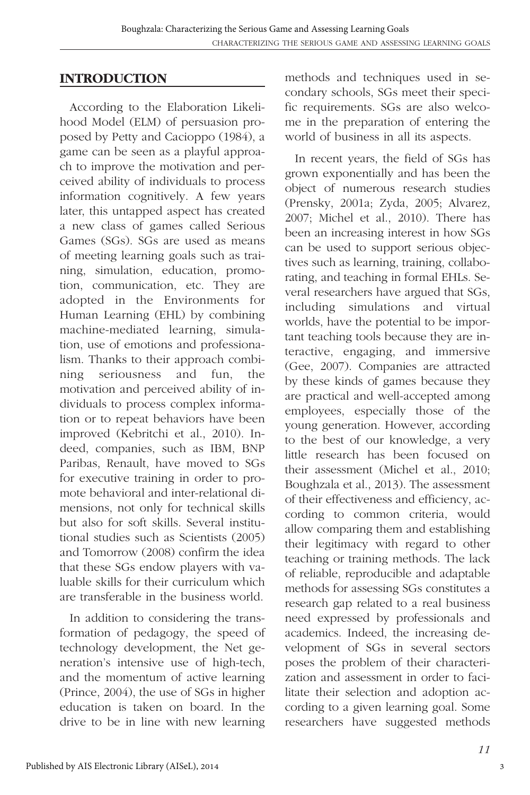#### **INTRODUCTION**

According to the Elaboration Likelihood Model (ELM) of persuasion proposed by Petty and Cacioppo (1984), a game can be seen as a playful approach to improve the motivation and perceived ability of individuals to process information cognitively. A few years later, this untapped aspect has created a new class of games called Serious Games (SGs). SGs are used as means of meeting learning goals such as training, simulation, education, promotion, communication, etc. They are adopted in the Environments for Human Learning (EHL) by combining machine-mediated learning, simulation, use of emotions and professionalism. Thanks to their approach combining seriousness and fun, the motivation and perceived ability of individuals to process complex information or to repeat behaviors have been improved (Kebritchi et al., 2010). Indeed, companies, such as IBM, BNP Paribas, Renault, have moved to SGs for executive training in order to promote behavioral and inter-relational dimensions, not only for technical skills but also for soft skills. Several institutional studies such as Scientists (2005) and Tomorrow (2008) confirm the idea that these SGs endow players with valuable skills for their curriculum which are transferable in the business world.

In addition to considering the transformation of pedagogy, the speed of technology development, the Net generation's intensive use of high-tech, and the momentum of active learning (Prince, 2004), the use of SGs in higher education is taken on board. In the drive to be in line with new learning methods and techniques used in secondary schools, SGs meet their specific requirements. SGs are also welcome in the preparation of entering the world of business in all its aspects.

In recent years, the field of SGs has grown exponentially and has been the object of numerous research studies (Prensky, 2001a; Zyda, 2005; Alvarez, 2007; Michel et al., 2010). There has been an increasing interest in how SGs can be used to support serious objectives such as learning, training, collaborating, and teaching in formal EHLs. Several researchers have argued that SGs, including simulations and virtual worlds, have the potential to be important teaching tools because they are interactive, engaging, and immersive (Gee, 2007). Companies are attracted by these kinds of games because they are practical and well-accepted among employees, especially those of the young generation. However, according to the best of our knowledge, a very little research has been focused on their assessment (Michel et al., 2010; Boughzala et al., 2013). The assessment of their effectiveness and efficiency, according to common criteria, would allow comparing them and establishing their legitimacy with regard to other teaching or training methods. The lack of reliable, reproducible and adaptable methods for assessing SGs constitutes a research gap related to a real business need expressed by professionals and academics. Indeed, the increasing development of SGs in several sectors poses the problem of their characterization and assessment in order to facilitate their selection and adoption according to a given learning goal. Some researchers have suggested methods

3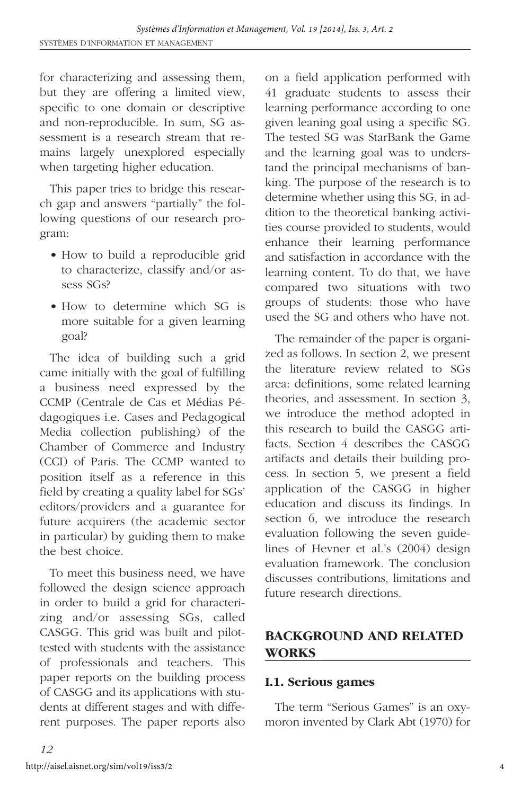for characterizing and assessing them, but they are offering a limited view, specific to one domain or descriptive and non-reproducible. In sum, SG assessment is a research stream that remains largely unexplored especially when targeting higher education.

This paper tries to bridge this research gap and answers "partially" the following questions of our research program:

- How to build a reproducible grid to characterize, classify and/or assess SGs?
- How to determine which SG is more suitable for a given learning goal?

The idea of building such a grid came initially with the goal of fulfilling a business need expressed by the CCMP (Centrale de Cas et Médias Pédagogiques i.e. Cases and Pedagogical Media collection publishing) of the Chamber of Commerce and Industry (CCI) of Paris. The CCMP wanted to position itself as a reference in this field by creating a quality label for SGs' editors/providers and a guarantee for future acquirers (the academic sector in particular) by guiding them to make the best choice.

To meet this business need, we have followed the design science approach in order to build a grid for characterizing and/or assessing SGs, called CASGG. This grid was built and pilottested with students with the assistance of professionals and teachers. This paper reports on the building process of CASGG and its applications with students at different stages and with different purposes. The paper reports also

on a field application performed with 41 graduate students to assess their learning performance according to one given leaning goal using a specific SG. The tested SG was StarBank the Game and the learning goal was to understand the principal mechanisms of banking. The purpose of the research is to determine whether using this SG, in addition to the theoretical banking activities course provided to students, would enhance their learning performance and satisfaction in accordance with the learning content. To do that, we have compared two situations with two groups of students: those who have used the SG and others who have not.

The remainder of the paper is organized as follows. In section 2, we present the literature review related to SGs area: definitions, some related learning theories, and assessment. In section 3, we introduce the method adopted in this research to build the CASGG artifacts. Section 4 describes the CASGG artifacts and details their building process. In section 5, we present a field application of the CASGG in higher education and discuss its findings. In section 6, we introduce the research evaluation following the seven guidelines of Hevner et al.'s (2004) design evaluation framework. The conclusion discusses contributions, limitations and future research directions.

# **BACKGROUND AND RELATED WORKS**

#### **I.1. Serious games**

The term "Serious Games" is an oxymoron invented by Clark Abt (1970) for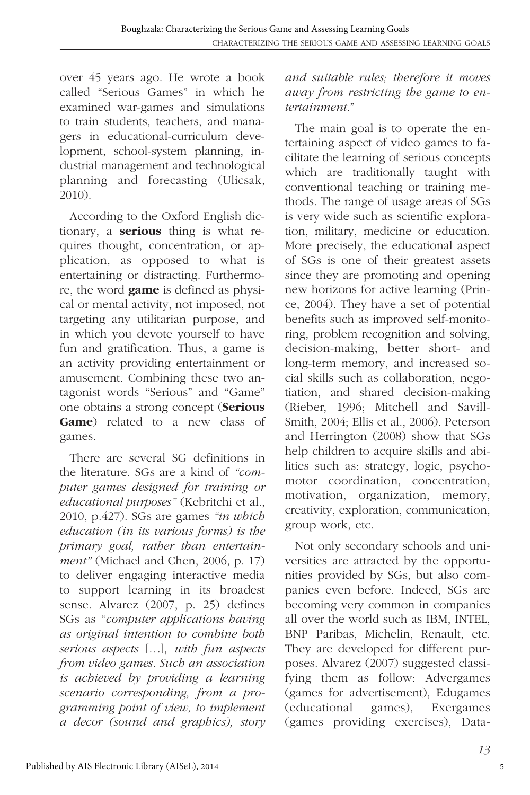over 45 years ago. He wrote a book called "Serious Games" in which he examined war-games and simulations to train students, teachers, and managers in educational-curriculum development, school-system planning, industrial management and technological planning and forecasting (Ulicsak, 2010).

According to the Oxford English dictionary, a **serious** thing is what requires thought, concentration, or application, as opposed to what is entertaining or distracting. Furthermore, the word **game** is defined as physical or mental activity, not imposed, not targeting any utilitarian purpose, and in which you devote yourself to have fun and gratification. Thus, a game is an activity providing entertainment or amusement. Combining these two antagonist words "Serious" and "Game" one obtains a strong concept (**Serious Game**) related to a new class of games.

There are several SG definitions in the literature. SGs are a kind of *"computer games designed for training or educational purposes"* (Kebritchi et al., 2010, p.427). SGs are games *"in which education (in its various forms) is the primary goal, rather than entertainment"* (Michael and Chen, 2006, p. 17) to deliver engaging interactive media to support learning in its broadest sense. Alvarez (2007, p. 25) defines SGs as "*computer applications having as original intention to combine both serious aspects* […], *with fun aspects from video games. Such an association is achieved by providing a learning scenario corresponding, from a programming point of view, to implement a decor (sound and graphics), story*

#### *and suitable rules; therefore it moves away from restricting the game to entertainment*."

The main goal is to operate the entertaining aspect of video games to facilitate the learning of serious concepts which are traditionally taught with conventional teaching or training methods. The range of usage areas of SGs is very wide such as scientific exploration, military, medicine or education. More precisely, the educational aspect of SGs is one of their greatest assets since they are promoting and opening new horizons for active learning (Prince, 2004). They have a set of potential benefits such as improved self-monitoring, problem recognition and solving, decision-making, better short- and long-term memory, and increased social skills such as collaboration, negotiation, and shared decision-making (Rieber, 1996; Mitchell and Savill-Smith, 2004; Ellis et al., 2006). Peterson and Herrington (2008) show that SGs help children to acquire skills and abilities such as: strategy, logic, psychomotor coordination, concentration, motivation, organization, memory, creativity, exploration, communication, group work, etc.

Not only secondary schools and universities are attracted by the opportunities provided by SGs, but also companies even before. Indeed, SGs are becoming very common in companies all over the world such as IBM, INTEL, BNP Paribas, Michelin, Renault, etc. They are developed for different purposes. Alvarez (2007) suggested classifying them as follow: Advergames (games for advertisement), Edugames (educational games), Exergames (games providing exercises), Data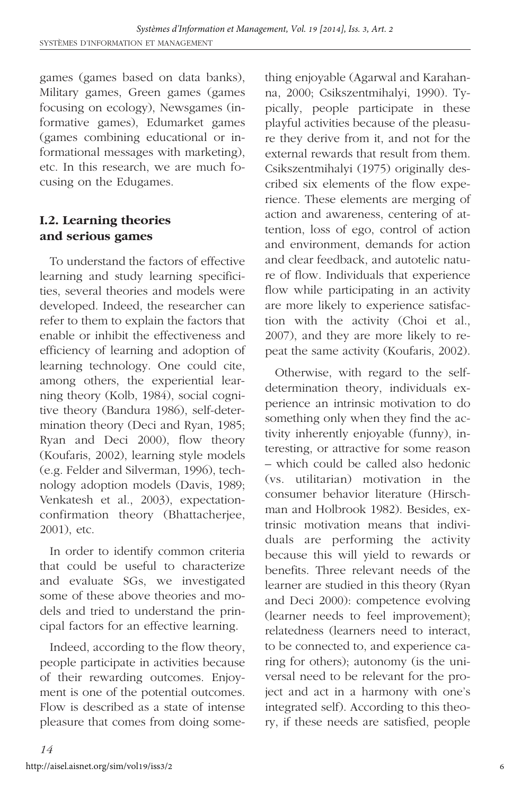games (games based on data banks), Military games, Green games (games focusing on ecology), Newsgames (informative games), Edumarket games (games combining educational or informational messages with marketing), etc. In this research, we are much focusing on the Edugames.

#### **I.2. Learning theories and serious games**

To understand the factors of effective learning and study learning specificities, several theories and models were developed. Indeed, the researcher can refer to them to explain the factors that enable or inhibit the effectiveness and efficiency of learning and adoption of learning technology. One could cite, among others, the experiential learning theory (Kolb, 1984), social cognitive theory (Bandura 1986), self-determination theory (Deci and Ryan, 1985; Ryan and Deci 2000), flow theory (Koufaris, 2002), learning style models (e.g. Felder and Silverman, 1996), technology adoption models (Davis, 1989; Venkatesh et al., 2003), expectationconfirmation theory (Bhattacherjee, 2001), etc.

In order to identify common criteria that could be useful to characterize and evaluate SGs, we investigated some of these above theories and models and tried to understand the principal factors for an effective learning.

Indeed, according to the flow theory, people participate in activities because of their rewarding outcomes. Enjoyment is one of the potential outcomes. Flow is described as a state of intense pleasure that comes from doing something enjoyable (Agarwal and Karahanna, 2000; Csikszentmihalyi, 1990). Typically, people participate in these playful activities because of the pleasure they derive from it, and not for the external rewards that result from them. Csikszentmihalyi (1975) originally described six elements of the flow experience. These elements are merging of action and awareness, centering of attention, loss of ego, control of action and environment, demands for action and clear feedback, and autotelic nature of flow. Individuals that experience flow while participating in an activity are more likely to experience satisfaction with the activity (Choi et al., 2007), and they are more likely to repeat the same activity (Koufaris, 2002).

Otherwise, with regard to the selfdetermination theory, individuals experience an intrinsic motivation to do something only when they find the activity inherently enjoyable (funny), interesting, or attractive for some reason – which could be called also hedonic (vs. utilitarian) motivation in the consumer behavior literature (Hirschman and Holbrook 1982). Besides, extrinsic motivation means that individuals are performing the activity because this will yield to rewards or benefits. Three relevant needs of the learner are studied in this theory (Ryan and Deci 2000): competence evolving (learner needs to feel improvement); relatedness (learners need to interact, to be connected to, and experience caring for others); autonomy (is the universal need to be relevant for the project and act in a harmony with one's integrated self). According to this theory, if these needs are satisfied, people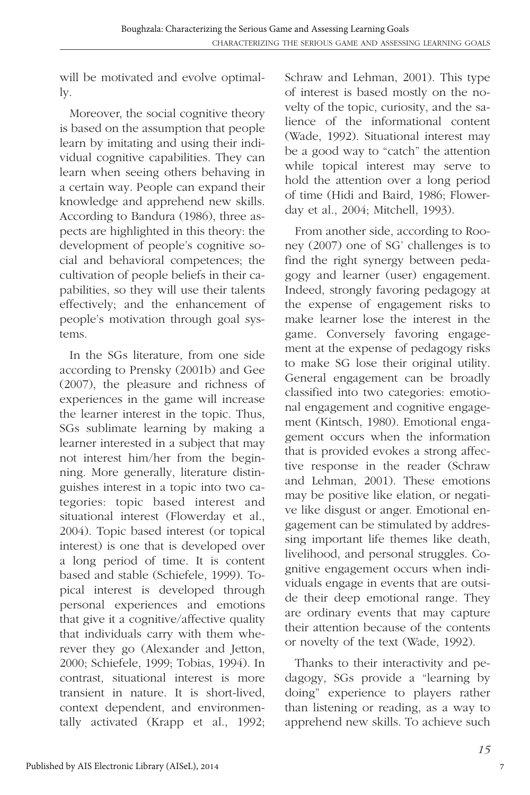will be motivated and evolve optimally.

Moreover, the social cognitive theory is based on the assumption that people learn by imitating and using their individual cognitive capabilities. They can learn when seeing others behaving in a certain way. People can expand their knowledge and apprehend new skills. According to Bandura (1986), three aspects are highlighted in this theory: the development of people's cognitive social and behavioral competences; the cultivation of people beliefs in their capabilities, so they will use their talents effectively; and the enhancement of people's motivation through goal systems.

In the SGs literature, from one side according to Prensky (2001b) and Gee (2007), the pleasure and richness of experiences in the game will increase the learner interest in the topic. Thus, SGs sublimate learning by making a learner interested in a subject that may not interest him/her from the beginning. More generally, literature distinguishes interest in a topic into two categories: topic based interest and situational interest (Flowerday et al., 2004). Topic based interest (or topical interest) is one that is developed over a long period of time. It is content based and stable (Schiefele, 1999). Topical interest is developed through personal experiences and emotions that give it a cognitive/affective quality that individuals carry with them wherever they go (Alexander and Jetton, 2000; Schiefele, 1999; Tobias, 1994). In contrast, situational interest is more transient in nature. It is short-lived, context dependent, and environmentally activated (Krapp et al., 1992;

Schraw and Lehman, 2001). This type of interest is based mostly on the novelty of the topic, curiosity, and the salience of the informational content (Wade, 1992). Situational interest may be a good way to "catch" the attention while topical interest may serve to hold the attention over a long period of time (Hidi and Baird, 1986; Flowerday et al., 2004; Mitchell, 1993).

From another side, according to Rooney (2007) one of SG' challenges is to find the right synergy between pedagogy and learner (user) engagement. Indeed, strongly favoring pedagogy at the expense of engagement risks to make learner lose the interest in the game. Conversely favoring engagement at the expense of pedagogy risks to make SG lose their original utility. General engagement can be broadly classified into two categories: emotional engagement and cognitive engagement (Kintsch, 1980). Emotional engagement occurs when the information that is provided evokes a strong affective response in the reader (Schraw and Lehman, 2001). These emotions may be positive like elation, or negative like disgust or anger. Emotional engagement can be stimulated by addressing important life themes like death, livelihood, and personal struggles. Cognitive engagement occurs when individuals engage in events that are outside their deep emotional range. They are ordinary events that may capture their attention because of the contents or novelty of the text (Wade, 1992).

Thanks to their interactivity and pedagogy, SGs provide a "learning by doing" experience to players rather than listening or reading, as a way to apprehend new skills. To achieve such

7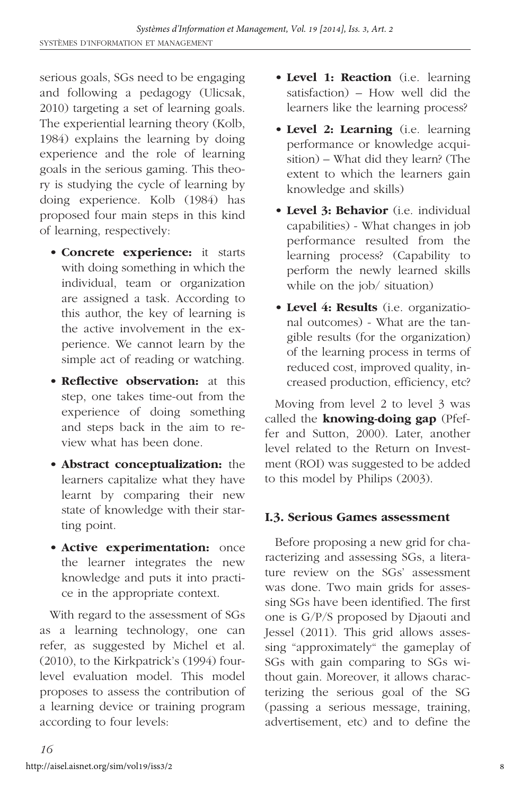serious goals, SGs need to be engaging and following a pedagogy (Ulicsak, 2010) targeting a set of learning goals. The experiential learning theory (Kolb, 1984) explains the learning by doing experience and the role of learning goals in the serious gaming. This theory is studying the cycle of learning by doing experience. Kolb (1984) has proposed four main steps in this kind of learning, respectively:

- **Concrete experience:** it starts with doing something in which the individual, team or organization are assigned a task. According to this author, the key of learning is the active involvement in the experience. We cannot learn by the simple act of reading or watching.
- **Reflective observation:** at this step, one takes time-out from the experience of doing something and steps back in the aim to review what has been done.
- **Abstract conceptualization:** the learners capitalize what they have learnt by comparing their new state of knowledge with their starting point.
- **Active experimentation:** once the learner integrates the new knowledge and puts it into practice in the appropriate context.

With regard to the assessment of SGs as a learning technology, one can refer, as suggested by Michel et al. (2010), to the Kirkpatrick's (1994) fourlevel evaluation model. This model proposes to assess the contribution of a learning device or training program according to four levels:

- **Level 1: Reaction** (i.e. learning satisfaction) – How well did the learners like the learning process?
- **Level 2: Learning** (i.e. learning performance or knowledge acquisition) – What did they learn? (The extent to which the learners gain knowledge and skills)
- **Level 3: Behavior** (i.e. individual capabilities) - What changes in job performance resulted from the learning process? (Capability to perform the newly learned skills while on the job/ situation)
- **Level 4: Results** (i.e. organizational outcomes) - What are the tangible results (for the organization) of the learning process in terms of reduced cost, improved quality, increased production, efficiency, etc?

Moving from level 2 to level 3 was called the **knowing-doing gap** (Pfeffer and Sutton, 2000). Later, another level related to the Return on Investment (ROI) was suggested to be added to this model by Philips (2003).

#### **I.3. Serious Games assessment**

Before proposing a new grid for characterizing and assessing SGs, a literature review on the SGs' assessment was done. Two main grids for assessing SGs have been identified. The first one is G/P/S proposed by Djaouti and Jessel (2011). This grid allows assessing "approximately" the gameplay of SGs with gain comparing to SGs without gain. Moreover, it allows characterizing the serious goal of the SG (passing a serious message, training, advertisement, etc) and to define the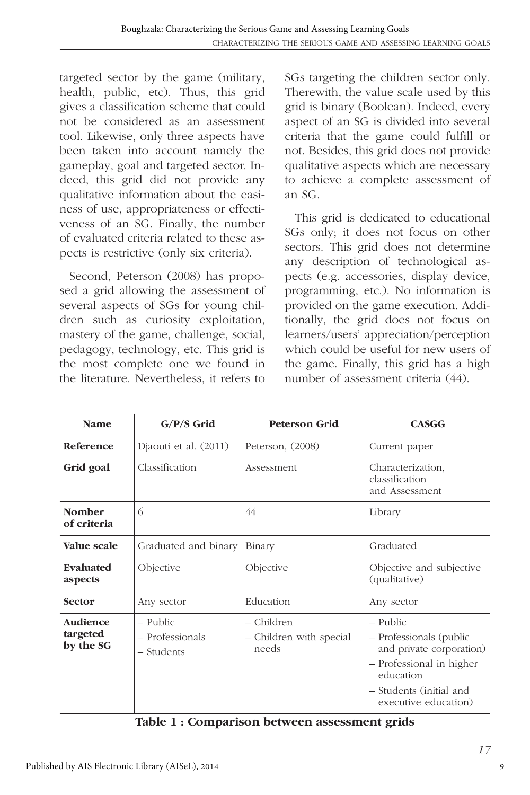targeted sector by the game (military, health, public, etc). Thus, this grid gives a classification scheme that could not be considered as an assessment tool. Likewise, only three aspects have been taken into account namely the gameplay, goal and targeted sector. Indeed, this grid did not provide any qualitative information about the easiness of use, appropriateness or effectiveness of an SG. Finally, the number of evaluated criteria related to these aspects is restrictive (only six criteria).

Second, Peterson (2008) has proposed a grid allowing the assessment of several aspects of SGs for young children such as curiosity exploitation, mastery of the game, challenge, social, pedagogy, technology, etc. This grid is the most complete one we found in the literature. Nevertheless, it refers to

SGs targeting the children sector only. Therewith, the value scale used by this grid is binary (Boolean). Indeed, every aspect of an SG is divided into several criteria that the game could fulfill or not. Besides, this grid does not provide qualitative aspects which are necessary to achieve a complete assessment of an SG.

This grid is dedicated to educational SGs only; it does not focus on other sectors. This grid does not determine any description of technological aspects (e.g. accessories, display device, programming, etc.). No information is provided on the game execution. Additionally, the grid does not focus on learners/users' appreciation/perception which could be useful for new users of the game. Finally, this grid has a high number of assessment criteria (44).

| <b>Name</b>                       | $G/P/S$ Grid                              | <b>Peterson Grid</b>                           | <b>CASGG</b>                                                                                                                                                |
|-----------------------------------|-------------------------------------------|------------------------------------------------|-------------------------------------------------------------------------------------------------------------------------------------------------------------|
| <b>Reference</b>                  | Djaouti et al. (2011)                     | Peterson, (2008)                               | Current paper                                                                                                                                               |
| Grid goal                         | Classification                            | Assessment                                     | Characterization,<br>classification<br>and Assessment                                                                                                       |
| <b>Nomber</b><br>of criteria      | 6                                         | 44                                             | Library                                                                                                                                                     |
| Value scale                       | Graduated and binary                      | Binary                                         | Graduated                                                                                                                                                   |
| Evaluated<br>aspects              | Objective                                 | Objective                                      | Objective and subjective<br>(qualitative)                                                                                                                   |
| Sector                            | Any sector                                | Education                                      | Any sector                                                                                                                                                  |
| Audience<br>targeted<br>by the SG | – Public<br>- Professionals<br>– Students | – Children<br>- Children with special<br>needs | – Public<br>- Professionals (public<br>and private corporation)<br>- Professional in higher<br>education<br>- Students (initial and<br>executive education) |

**Table 1 : Comparison between assessment grids**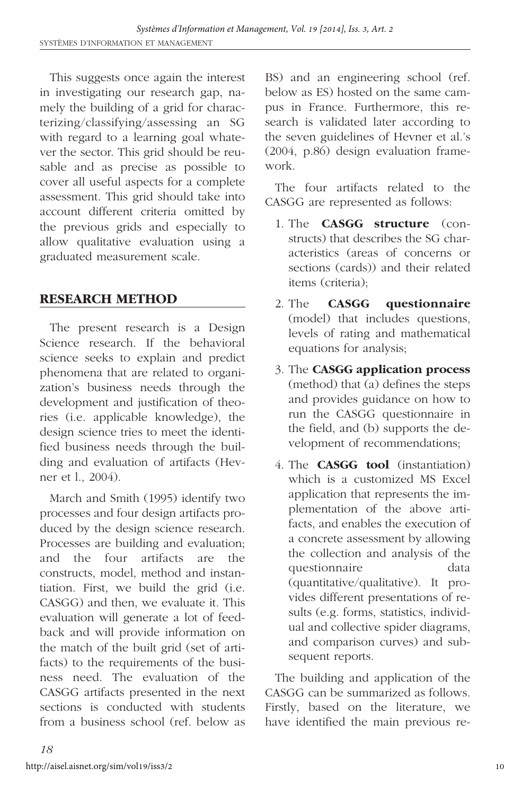This suggests once again the interest in investigating our research gap, namely the building of a grid for characterizing/classifying/assessing an SG with regard to a learning goal whatever the sector. This grid should be reusable and as precise as possible to cover all useful aspects for a complete assessment. This grid should take into account different criteria omitted by the previous grids and especially to allow qualitative evaluation using a graduated measurement scale.

# **RESEARCH METHOD**

The present research is a Design Science research. If the behavioral science seeks to explain and predict phenomena that are related to organization's business needs through the development and justification of theories (i.e. applicable knowledge), the design science tries to meet the identified business needs through the building and evaluation of artifacts (Hevner et l., 2004).

March and Smith (1995) identify two processes and four design artifacts produced by the design science research. Processes are building and evaluation; and the four artifacts are the constructs, model, method and instantiation. First, we build the grid (i.e. CASGG) and then, we evaluate it. This evaluation will generate a lot of feedback and will provide information on the match of the built grid (set of artifacts) to the requirements of the business need. The evaluation of the CASGG artifacts presented in the next sections is conducted with students from a business school (ref. below as

BS) and an engineering school (ref. below as ES) hosted on the same campus in France. Furthermore, this research is validated later according to the seven guidelines of Hevner et al.'s (2004, p.86) design evaluation framework.

The four artifacts related to the CASGG are represented as follows:

- 1. The **CASGG structure** (constructs) that describes the SG characteristics (areas of concerns or sections (cards)) and their related items (criteria);
- 2. The **CASGG questionnaire** (model) that includes questions, levels of rating and mathematical equations for analysis;
- 3. The **CASGG application process** (method) that (a) defines the steps and provides guidance on how to run the CASGG questionnaire in the field, and (b) supports the development of recommendations;
- 4. The **CASGG tool** (instantiation) which is a customized MS Excel application that represents the implementation of the above artifacts, and enables the execution of a concrete assessment by allowing the collection and analysis of the questionnaire data (quantitative/qualitative). It provides different presentations of results (e.g. forms, statistics, individual and collective spider diagrams, and comparison curves) and subsequent reports.

The building and application of the CASGG can be summarized as follows. Firstly, based on the literature, we have identified the main previous re-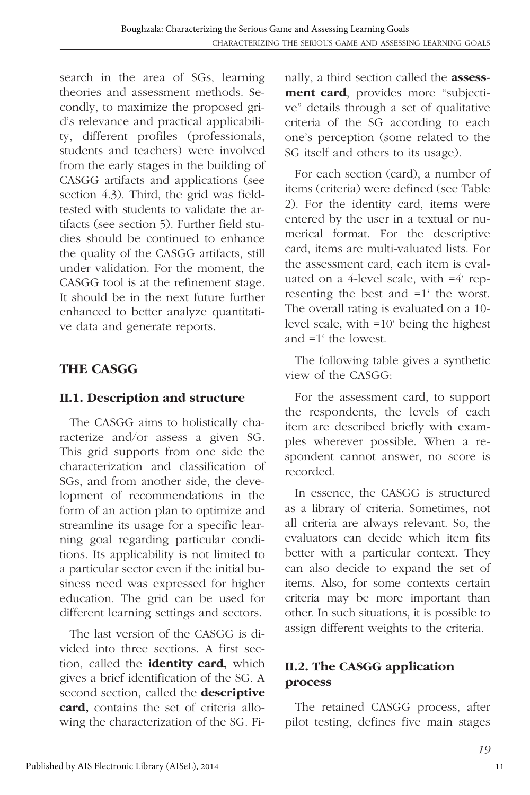search in the area of SGs, learning theories and assessment methods. Secondly, to maximize the proposed grid's relevance and practical applicability, different profiles (professionals, students and teachers) were involved from the early stages in the building of CASGG artifacts and applications (see section 4.3). Third, the grid was fieldtested with students to validate the artifacts (see section 5). Further field studies should be continued to enhance the quality of the CASGG artifacts, still under validation. For the moment, the CASGG tool is at the refinement stage. It should be in the next future further enhanced to better analyze quantitative data and generate reports.

# **THE CASGG**

#### **II.1. Description and structure**

The CASGG aims to holistically characterize and/or assess a given SG. This grid supports from one side the characterization and classification of SGs, and from another side, the development of recommendations in the form of an action plan to optimize and streamline its usage for a specific learning goal regarding particular conditions. Its applicability is not limited to a particular sector even if the initial business need was expressed for higher education. The grid can be used for different learning settings and sectors.

The last version of the CASGG is divided into three sections. A first section, called the **identity card,** which gives a brief identification of the SG. A second section, called the **descriptive card,** contains the set of criteria allowing the characterization of the SG. Finally, a third section called the **assessment card**, provides more "subjective" details through a set of qualitative criteria of the SG according to each one's perception (some related to the SG itself and others to its usage).

For each section (card), a number of items (criteria) were defined (see Table 2). For the identity card, items were entered by the user in a textual or numerical format. For the descriptive card, items are multi-valuated lists. For the assessment card, each item is evaluated on a 4-level scale, with =4' representing the best and =1' the worst. The overall rating is evaluated on a 10 level scale, with =10' being the highest and =1' the lowest.

The following table gives a synthetic view of the CASGG:

For the assessment card, to support the respondents, the levels of each item are described briefly with examples wherever possible. When a respondent cannot answer, no score is recorded.

In essence, the CASGG is structured as a library of criteria. Sometimes, not all criteria are always relevant. So, the evaluators can decide which item fits better with a particular context. They can also decide to expand the set of items. Also, for some contexts certain criteria may be more important than other. In such situations, it is possible to assign different weights to the criteria.

# **II.2. The CASGG application process**

The retained CASGG process, after pilot testing, defines five main stages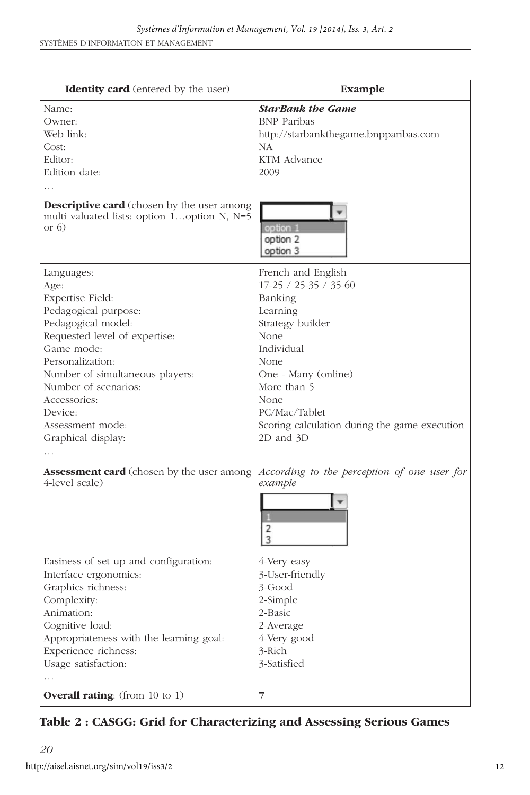| <b>Identity card</b> (entered by the user)                                                                                                                                                                                                                                              | Example                                                                                                                                                                                                                                           |
|-----------------------------------------------------------------------------------------------------------------------------------------------------------------------------------------------------------------------------------------------------------------------------------------|---------------------------------------------------------------------------------------------------------------------------------------------------------------------------------------------------------------------------------------------------|
| Name:<br>Owner:<br>Web link:<br>Cost:<br>Editor:<br>Edition date:                                                                                                                                                                                                                       | <b>StarBank the Game</b><br><b>BNP</b> Paribas<br>http://starbankthegame.bnpparibas.com<br>NA<br>KTM Advance<br>2009                                                                                                                              |
| <b>Descriptive card</b> (chosen by the user among<br>multi valuated lists: option 1option N, N=5<br>or $6)$                                                                                                                                                                             | option 1<br>option 2<br>option 3                                                                                                                                                                                                                  |
| Languages:<br>Age:<br>Expertise Field:<br>Pedagogical purpose:<br>Pedagogical model:<br>Requested level of expertise:<br>Game mode:<br>Personalization:<br>Number of simultaneous players:<br>Number of scenarios:<br>Accessories:<br>Device:<br>Assessment mode:<br>Graphical display: | French and English<br>17-25 / 25-35 / 35-60<br>Banking<br>Learning<br>Strategy builder<br>None<br>Individual<br>None<br>One - Many (online)<br>More than 5<br>None<br>PC/Mac/Tablet<br>Scoring calculation during the game execution<br>2D and 3D |
| <b>Assessment card</b> (chosen by the user among<br>4-level scale)                                                                                                                                                                                                                      | According to the perception of <u>one user</u> for<br>example<br>2<br>3                                                                                                                                                                           |
| Easiness of set up and configuration:<br>Interface ergonomics:<br>Graphics richness:<br>Complexity:<br>Animation:<br>Cognitive load:<br>Appropriateness with the learning goal:<br>Experience richness:<br>Usage satisfaction:<br>$\cdots$                                              | 4-Very easy<br>3-User-friendly<br>3-Good<br>2-Simple<br>2-Basic<br>2-Average<br>4-Very good<br>3-Rich<br>3-Satisfied                                                                                                                              |
| <b>Overall rating:</b> (from 10 to 1)                                                                                                                                                                                                                                                   | 7                                                                                                                                                                                                                                                 |

#### **Table 2 : CASGG: Grid for Characterizing and Assessing Serious Games**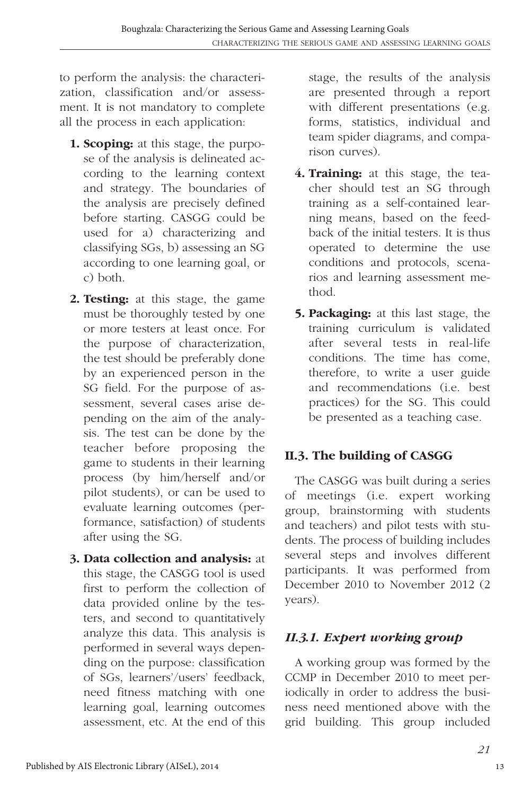to perform the analysis: the characterization, classification and/or assessment. It is not mandatory to complete all the process in each application:

- **1. Scoping:** at this stage, the purpose of the analysis is delineated according to the learning context and strategy. The boundaries of the analysis are precisely defined before starting. CASGG could be used for a) characterizing and classifying SGs, b) assessing an SG according to one learning goal, or c) both.
- **2. Testing:** at this stage, the game must be thoroughly tested by one or more testers at least once. For the purpose of characterization, the test should be preferably done by an experienced person in the SG field. For the purpose of assessment, several cases arise depending on the aim of the analysis. The test can be done by the teacher before proposing the game to students in their learning process (by him/herself and/or pilot students), or can be used to evaluate learning outcomes (performance, satisfaction) of students after using the SG.
- **3. Data collection and analysis:** at this stage, the CASGG tool is used first to perform the collection of data provided online by the testers, and second to quantitatively analyze this data. This analysis is performed in several ways depending on the purpose: classification of SGs, learners'/users' feedback, need fitness matching with one learning goal, learning outcomes assessment, etc. At the end of this

stage, the results of the analysis are presented through a report with different presentations (e.g. forms, statistics, individual and team spider diagrams, and comparison curves).

- **4. Training:** at this stage, the teacher should test an SG through training as a self-contained learning means, based on the feedback of the initial testers. It is thus operated to determine the use conditions and protocols, scenarios and learning assessment method.
- **5. Packaging:** at this last stage, the training curriculum is validated after several tests in real-life conditions. The time has come, therefore, to write a user guide and recommendations (i.e. best practices) for the SG. This could be presented as a teaching case.

# **II.3. The building of CASGG**

The CASGG was built during a series of meetings (i.e. expert working group, brainstorming with students and teachers) and pilot tests with students. The process of building includes several steps and involves different participants. It was performed from December 2010 to November 2012 (2 years).

# *II.3.1. Expert working group*

A working group was formed by the CCMP in December 2010 to meet periodically in order to address the business need mentioned above with the grid building. This group included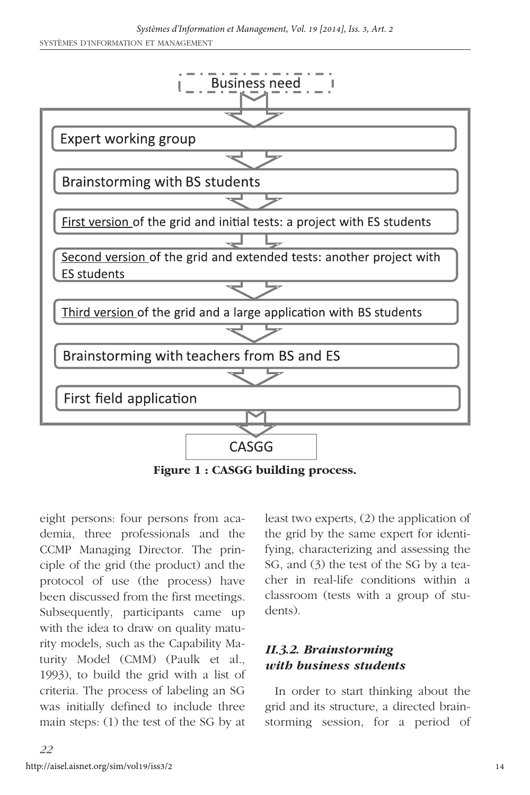

**Figure 1 : CASGG building process.**

eight persons: four persons from academia, three professionals and the CCMP Managing Director. The principle of the grid (the product) and the protocol of use (the process) have been discussed from the first meetings. Subsequently, participants came up with the idea to draw on quality maturity models, such as the Capability Maturity Model (CMM) (Paulk et al., 1993), to build the grid with a list of criteria. The process of labeling an SG was initially defined to include three main steps: (1) the test of the SG by at least two experts, (2) the application of the grid by the same expert for identifying, characterizing and assessing the SG, and (3) the test of the SG by a teacher in real-life conditions within a classroom (tests with a group of students).

#### *II.3.2. Brainstorming with business students*

In order to start thinking about the grid and its structure, a directed brainstorming session, for a period of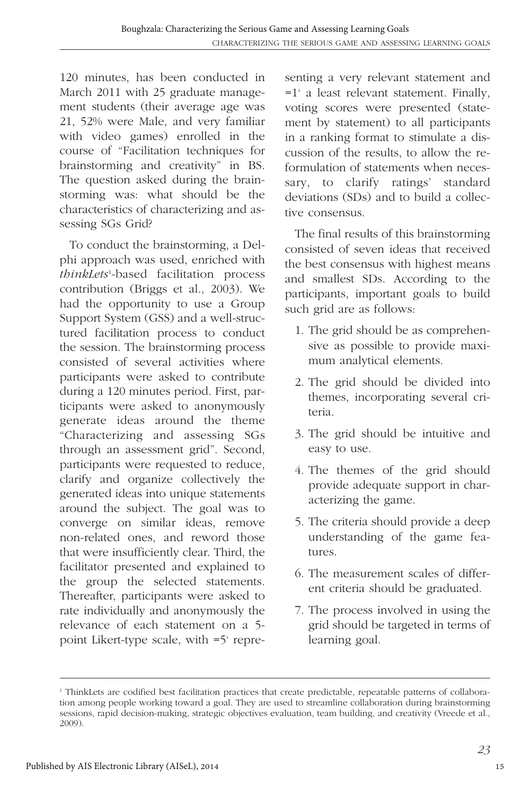120 minutes, has been conducted in March 2011 with 25 graduate management students (their average age was 21, 52% were Male, and very familiar with video games) enrolled in the course of "Facilitation techniques for brainstorming and creativity" in BS. The question asked during the brainstorming was: what should be the characteristics of characterizing and assessing SGs Grid?

To conduct the brainstorming, a Delphi approach was used, enriched with *thinkLets*<sup>1</sup> -based facilitation process contribution (Briggs et al., 2003). We had the opportunity to use a Group Support System (GSS) and a well-structured facilitation process to conduct the session. The brainstorming process consisted of several activities where participants were asked to contribute during a 120 minutes period. First, participants were asked to anonymously generate ideas around the theme "Characterizing and assessing SGs through an assessment grid". Second, participants were requested to reduce, clarify and organize collectively the generated ideas into unique statements around the subject. The goal was to converge on similar ideas, remove non-related ones, and reword those that were insufficiently clear. Third, the facilitator presented and explained to the group the selected statements. Thereafter, participants were asked to rate individually and anonymously the relevance of each statement on a 5 point Likert-type scale, with =5' representing a very relevant statement and =1' a least relevant statement. Finally, voting scores were presented (statement by statement) to all participants in a ranking format to stimulate a discussion of the results, to allow the reformulation of statements when necessary, to clarify ratings' standard deviations (SDs) and to build a collective consensus.

The final results of this brainstorming consisted of seven ideas that received the best consensus with highest means and smallest SDs. According to the participants, important goals to build such grid are as follows:

- 1. The grid should be as comprehensive as possible to provide maximum analytical elements.
- 2. The grid should be divided into themes, incorporating several criteria.
- 3. The grid should be intuitive and easy to use.
- 4. The themes of the grid should provide adequate support in characterizing the game.
- 5. The criteria should provide a deep understanding of the game features.
- 6. The measurement scales of different criteria should be graduated.
- 7. The process involved in using the grid should be targeted in terms of learning goal.

<sup>1</sup> ThinkLets are codified best facilitation practices that create predictable, repeatable patterns of collaboration among people working toward a goal. They are used to streamline collaboration during brainstorming sessions, rapid decision-making, strategic objectives evaluation, team building, and creativity (Vreede et al., 2009).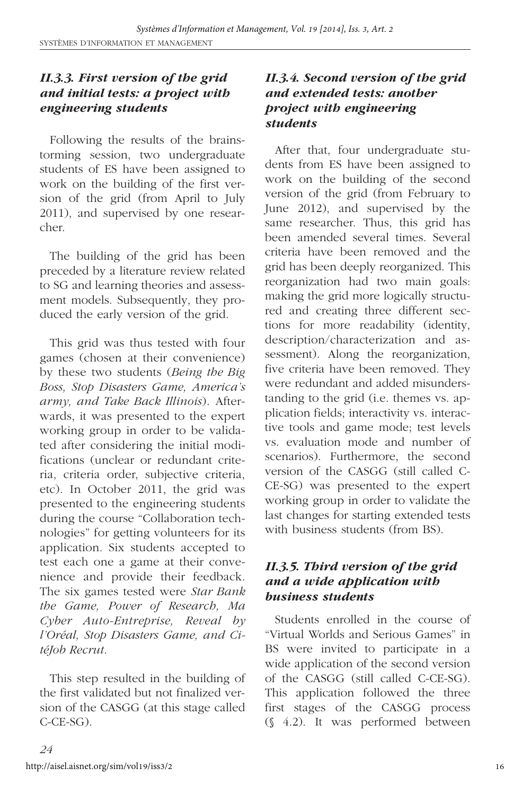#### *II.3.3. First version of the grid and initial tests: a project with engineering students*

Following the results of the brainstorming session, two undergraduate students of ES have been assigned to work on the building of the first version of the grid (from April to July 2011), and supervised by one researcher.

The building of the grid has been preceded by a literature review related to SG and learning theories and assessment models. Subsequently, they produced the early version of the grid.

This grid was thus tested with four games (chosen at their convenience) by these two students (*Being the Big Boss, Stop Disasters Game, America's army, and Take Back Illinois*). Afterwards, it was presented to the expert working group in order to be validated after considering the initial modifications (unclear or redundant criteria, criteria order, subjective criteria, etc). In October 2011, the grid was presented to the engineering students during the course "Collaboration technologies" for getting volunteers for its application. Six students accepted to test each one a game at their convenience and provide their feedback. The six games tested were *Star Bank the Game, Power of Research, Ma Cyber Auto-Entreprise, Reveal by l'Oréal, Stop Disasters Game, and CitéJob Recrut*.

This step resulted in the building of the first validated but not finalized version of the CASGG (at this stage called C-CE-SG).

#### *II.3.4. Second version of the grid and extended tests: another project with engineering students*

After that, four undergraduate students from ES have been assigned to work on the building of the second version of the grid (from February to June 2012), and supervised by the same researcher. Thus, this grid has been amended several times. Several criteria have been removed and the grid has been deeply reorganized. This reorganization had two main goals: making the grid more logically structured and creating three different sections for more readability (identity, description/characterization and assessment). Along the reorganization, five criteria have been removed. They were redundant and added misunderstanding to the grid (i.e. themes vs. application fields; interactivity vs. interactive tools and game mode; test levels vs. evaluation mode and number of scenarios). Furthermore, the second version of the CASGG (still called C-CE-SG) was presented to the expert working group in order to validate the last changes for starting extended tests with business students (from BS).

#### *II.3.5. Third version of the grid and a wide application with business students*

Students enrolled in the course of "Virtual Worlds and Serious Games" in BS were invited to participate in a wide application of the second version of the CASGG (still called C-CE-SG). This application followed the three first stages of the CASGG process (§ 4.2). It was performed between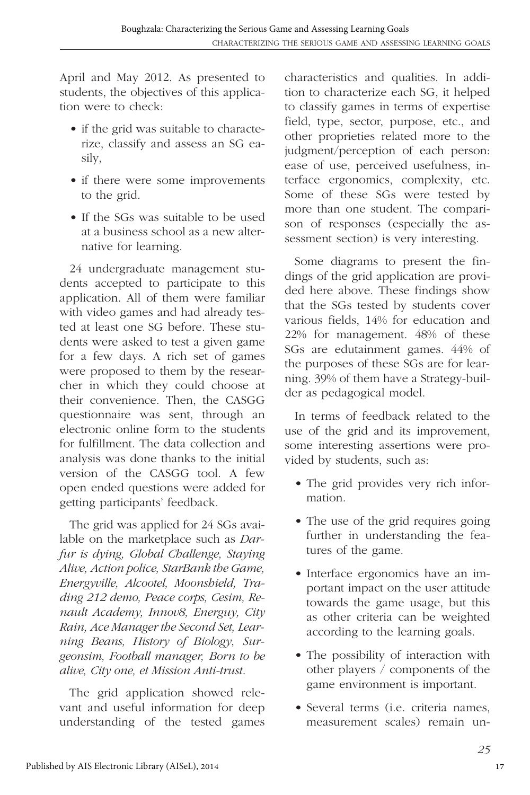April and May 2012. As presented to students, the objectives of this application were to check:

- if the grid was suitable to characterize, classify and assess an SG easily,
- if there were some improvements to the grid.
- If the SGs was suitable to be used at a business school as a new alternative for learning.

24 undergraduate management students accepted to participate to this application. All of them were familiar with video games and had already tested at least one SG before. These students were asked to test a given game for a few days. A rich set of games were proposed to them by the researcher in which they could choose at their convenience. Then, the CASGG questionnaire was sent, through an electronic online form to the students for fulfillment. The data collection and analysis was done thanks to the initial version of the CASGG tool. A few open ended questions were added for getting participants' feedback.

The grid was applied for 24 SGs available on the marketplace such as *Darfur is dying, Global Challenge, Staying Alive, Action police, StarBank the Game, Energyville, Alcootel, Moonshield, Trading 212 demo, Peace corps, Cesim, Renault Academy, Innov8, Energuy, City Rain, Ace Manager the Second Set, Learning Beans, History of Biology*, *Surgeonsim, Football manager, Born to be alive, City one, et Mission Anti-trust*.

The grid application showed relevant and useful information for deep understanding of the tested games

characteristics and qualities. In addition to characterize each SG, it helped to classify games in terms of expertise field, type, sector, purpose, etc., and other proprieties related more to the judgment/perception of each person: ease of use, perceived usefulness, interface ergonomics, complexity, etc. Some of these SGs were tested by more than one student. The comparison of responses (especially the assessment section) is very interesting.

Some diagrams to present the findings of the grid application are provided here above. These findings show that the SGs tested by students cover various fields, 14% for education and 22% for management. 48% of these SGs are edutainment games. 44% of the purposes of these SGs are for learning. 39% of them have a Strategy-builder as pedagogical model.

In terms of feedback related to the use of the grid and its improvement, some interesting assertions were provided by students, such as:

- The grid provides very rich information.
- The use of the grid requires going further in understanding the features of the game.
- Interface ergonomics have an important impact on the user attitude towards the game usage, but this as other criteria can be weighted according to the learning goals.
- The possibility of interaction with other players / components of the game environment is important.
- Several terms (i.e. criteria names, measurement scales) remain un-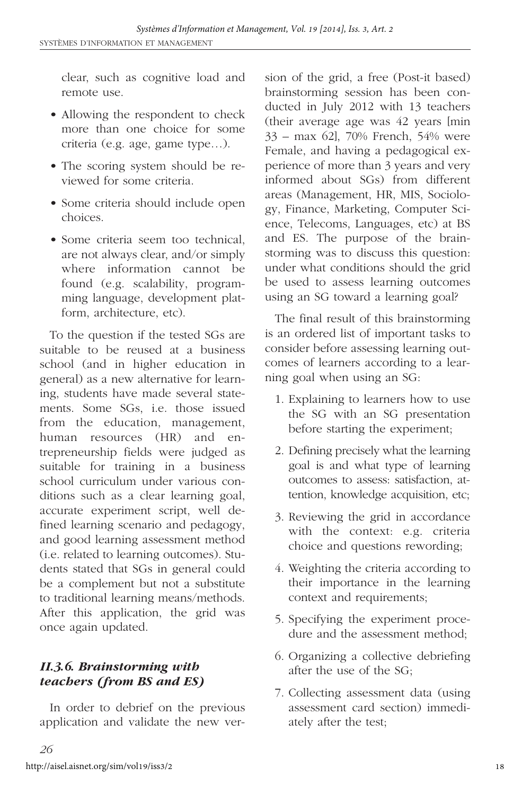clear, such as cognitive load and remote use.

- Allowing the respondent to check more than one choice for some criteria (e.g. age, game type…).
- The scoring system should be reviewed for some criteria.
- Some criteria should include open choices.
- Some criteria seem too technical, are not always clear, and/or simply where information cannot be found (e.g. scalability, programming language, development platform, architecture, etc).

To the question if the tested SGs are suitable to be reused at a business school (and in higher education in general) as a new alternative for learning, students have made several statements. Some SGs, i.e. those issued from the education, management, human resources (HR) and entrepreneurship fields were judged as suitable for training in a business school curriculum under various conditions such as a clear learning goal, accurate experiment script, well defined learning scenario and pedagogy, and good learning assessment method (i.e. related to learning outcomes). Students stated that SGs in general could be a complement but not a substitute to traditional learning means/methods. After this application, the grid was once again updated.

# *II.3.6. Brainstorming with teachers (from BS and ES)*

In order to debrief on the previous application and validate the new version of the grid, a free (Post-it based) brainstorming session has been conducted in July 2012 with 13 teachers (their average age was 42 years [min 33 – max 62], 70% French, 54% were Female, and having a pedagogical experience of more than 3 years and very informed about SGs) from different areas (Management, HR, MIS, Sociology, Finance, Marketing, Computer Science, Telecoms, Languages, etc) at BS and ES. The purpose of the brainstorming was to discuss this question: under what conditions should the grid be used to assess learning outcomes using an SG toward a learning goal?

The final result of this brainstorming is an ordered list of important tasks to consider before assessing learning outcomes of learners according to a learning goal when using an SG:

- 1. Explaining to learners how to use the SG with an SG presentation before starting the experiment;
- 2. Defining precisely what the learning goal is and what type of learning outcomes to assess: satisfaction, attention, knowledge acquisition, etc;
- 3. Reviewing the grid in accordance with the context: e.g. criteria choice and questions rewording;
- 4. Weighting the criteria according to their importance in the learning context and requirements;
- 5. Specifying the experiment procedure and the assessment method;
- 6. Organizing a collective debriefing after the use of the SG;
- 7. Collecting assessment data (using assessment card section) immediately after the test;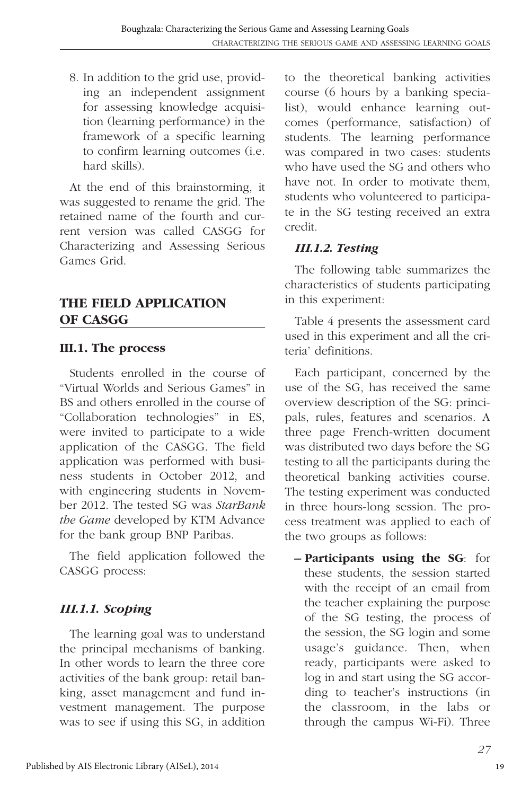8. In addition to the grid use, providing an independent assignment for assessing knowledge acquisition (learning performance) in the framework of a specific learning to confirm learning outcomes (i.e. hard skills).

At the end of this brainstorming, it was suggested to rename the grid. The retained name of the fourth and current version was called CASGG for Characterizing and Assessing Serious Games Grid.

# **THE FIELD APPLICATION OF CASGG**

#### **III.1. The process**

Students enrolled in the course of "Virtual Worlds and Serious Games" in BS and others enrolled in the course of "Collaboration technologies" in ES, were invited to participate to a wide application of the CASGG. The field application was performed with business students in October 2012, and with engineering students in November 2012. The tested SG was *StarBank the Game* developed by KTM Advance for the bank group BNP Paribas.

The field application followed the CASGG process:

# *III.1.1. Scoping*

The learning goal was to understand the principal mechanisms of banking. In other words to learn the three core activities of the bank group: retail banking, asset management and fund investment management. The purpose was to see if using this SG, in addition

to the theoretical banking activities course (6 hours by a banking specialist), would enhance learning outcomes (performance, satisfaction) of students. The learning performance was compared in two cases: students who have used the SG and others who have not. In order to motivate them, students who volunteered to participate in the SG testing received an extra credit.

#### *III.1.2. Testing*

The following table summarizes the characteristics of students participating in this experiment:

Table 4 presents the assessment card used in this experiment and all the criteria' definitions.

Each participant, concerned by the use of the SG, has received the same overview description of the SG: principals, rules, features and scenarios. A three page French-written document was distributed two days before the SG testing to all the participants during the theoretical banking activities course. The testing experiment was conducted in three hours-long session. The process treatment was applied to each of the two groups as follows:

**– Participants using the SG**: for these students, the session started with the receipt of an email from the teacher explaining the purpose of the SG testing, the process of the session, the SG login and some usage's guidance. Then, when ready, participants were asked to log in and start using the SG according to teacher's instructions (in the classroom, in the labs or through the campus Wi-Fi). Three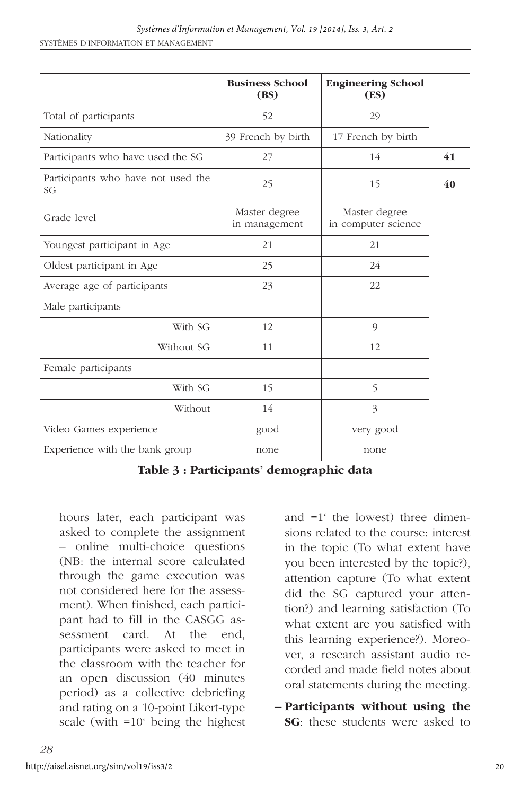|                                          | <b>Business School</b><br>(BS) | <b>Engineering School</b><br>(ES)    |    |
|------------------------------------------|--------------------------------|--------------------------------------|----|
| Total of participants                    | 52                             | 29                                   |    |
| Nationality                              | 39 French by birth             | 17 French by birth                   |    |
| Participants who have used the SG        | 27                             | 14                                   | 41 |
| Participants who have not used the<br>SG | 25                             | 15                                   | 40 |
| Grade level                              | Master degree<br>in management | Master degree<br>in computer science |    |
| Youngest participant in Age              | 21                             | 21                                   |    |
| Oldest participant in Age                | 25                             | 24                                   |    |
| Average age of participants              | 23                             | 22                                   |    |
| Male participants                        |                                |                                      |    |
| With SG                                  | 12                             | 9                                    |    |
| Without SG                               | 11                             | 12                                   |    |
| Female participants                      |                                |                                      |    |
| With SG                                  | 15                             | 5                                    |    |
| Without                                  | 14                             | 3                                    |    |
| Video Games experience                   | good                           | very good                            |    |
| Experience with the bank group           | none                           | none                                 |    |

**Table 3 : Participants' demographic data**

hours later, each participant was asked to complete the assignment – online multi-choice questions (NB: the internal score calculated through the game execution was not considered here for the assessment). When finished, each participant had to fill in the CASGG assessment card. At the end, participants were asked to meet in the classroom with the teacher for an open discussion (40 minutes period) as a collective debriefing and rating on a 10-point Likert-type scale (with =10' being the highest

and =1' the lowest) three dimensions related to the course: interest in the topic (To what extent have you been interested by the topic?), attention capture (To what extent did the SG captured your attention?) and learning satisfaction (To what extent are you satisfied with this learning experience?). Moreover, a research assistant audio recorded and made field notes about oral statements during the meeting.

**– Participants without using the SG**: these students were asked to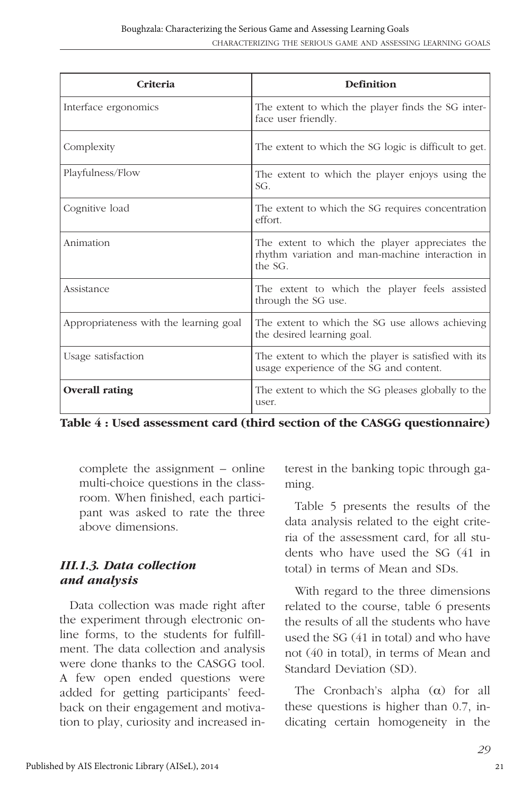| Criteria                               | Definition                                                                                                   |  |  |
|----------------------------------------|--------------------------------------------------------------------------------------------------------------|--|--|
| Interface ergonomics                   | The extent to which the player finds the SG inter-<br>face user friendly.                                    |  |  |
| Complexity                             | The extent to which the SG logic is difficult to get.                                                        |  |  |
| Playfulness/Flow                       | The extent to which the player enjoys using the<br>SG.                                                       |  |  |
| Cognitive load                         | The extent to which the SG requires concentration<br>effort.                                                 |  |  |
| Animation                              | The extent to which the player appreciates the<br>rhythm variation and man-machine interaction in<br>the SG. |  |  |
| Assistance                             | The extent to which the player feels assisted<br>through the SG use.                                         |  |  |
| Appropriateness with the learning goal | The extent to which the SG use allows achieving<br>the desired learning goal.                                |  |  |
| Usage satisfaction                     | The extent to which the player is satisfied with its<br>usage experience of the SG and content.              |  |  |
| <b>Overall rating</b>                  | The extent to which the SG pleases globally to the<br>user.                                                  |  |  |

**Table 4 : Used assessment card (third section of the CASGG questionnaire)**

complete the assignment – online multi-choice questions in the classroom. When finished, each participant was asked to rate the three above dimensions.

#### *III.1.3. Data collection and analysis*

Data collection was made right after the experiment through electronic online forms, to the students for fulfillment. The data collection and analysis were done thanks to the CASGG tool. A few open ended questions were added for getting participants' feedback on their engagement and motivation to play, curiosity and increased interest in the banking topic through gaming.

Table 5 presents the results of the data analysis related to the eight criteria of the assessment card, for all students who have used the SG (41 in total) in terms of Mean and SDs.

With regard to the three dimensions related to the course, table 6 presents the results of all the students who have used the SG (41 in total) and who have not (40 in total), in terms of Mean and Standard Deviation (SD).

The Cronbach's alpha  $(\alpha)$  for all these questions is higher than 0.7, indicating certain homogeneity in the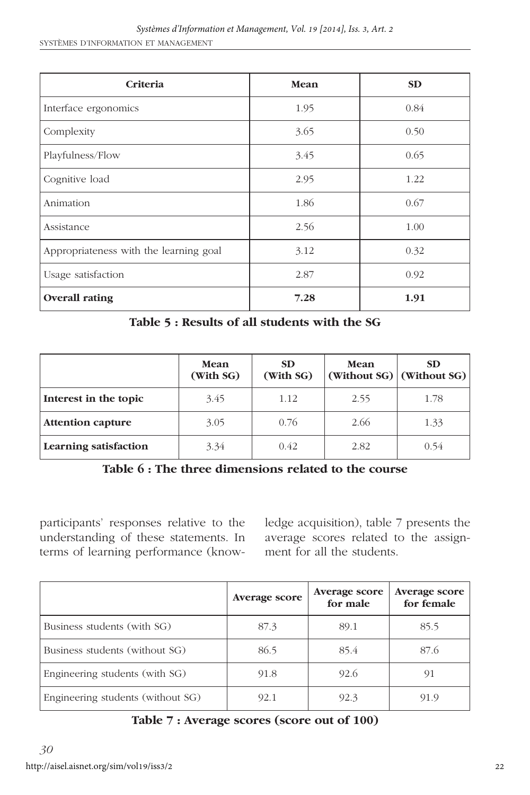| Criteria                               | <b>Mean</b> | <b>SD</b> |
|----------------------------------------|-------------|-----------|
| Interface ergonomics                   | 1.95        | 0.84      |
| Complexity                             | 3.65        | 0.50      |
| Playfulness/Flow                       | 3.45        | 0.65      |
| Cognitive load                         | 2.95        | 1.22      |
| Animation                              | 1.86        | 0.67      |
| Assistance                             | 2.56        | 1.00      |
| Appropriateness with the learning goal | 3.12        | 0.32      |
| Usage satisfaction                     | 2.87        | 0.92      |
| <b>Overall rating</b>                  | 7.28        | 1.91      |

**Table 5 : Results of all students with the SG**

|                          | Mean<br>(With SG) | <b>SD</b><br>(With SG) | Mean | SD.<br>(Without $SG$ ) $ \text{Without }SG\rangle $ |
|--------------------------|-------------------|------------------------|------|-----------------------------------------------------|
| Interest in the topic    | 3.45              | 1.12                   | 2.55 | 1.78                                                |
| <b>Attention capture</b> | 3.05              | 0.76                   | 2.66 | 1.33                                                |
| Learning satisfaction    | 3.34              | 0.42                   | 2.82 | 0.54                                                |

**Table 6 : The three dimensions related to the course**

participants' responses relative to the understanding of these statements. In terms of learning performance (knowledge acquisition), table 7 presents the average scores related to the assignment for all the students.

|                                   | <b>Average score</b> | <b>Average score</b><br>for male | <b>Average score</b><br>for female |
|-----------------------------------|----------------------|----------------------------------|------------------------------------|
| Business students (with SG)       | 87.3                 | 89.1                             | 85.5                               |
| Business students (without SG)    | 86.5                 | 85.4                             | 87.6                               |
| Engineering students (with SG)    | 91.8                 | 92.6                             | 91                                 |
| Engineering students (without SG) | 92.1                 | 92.3                             | 91.9                               |

**Table 7 : Average scores (score out of 100)**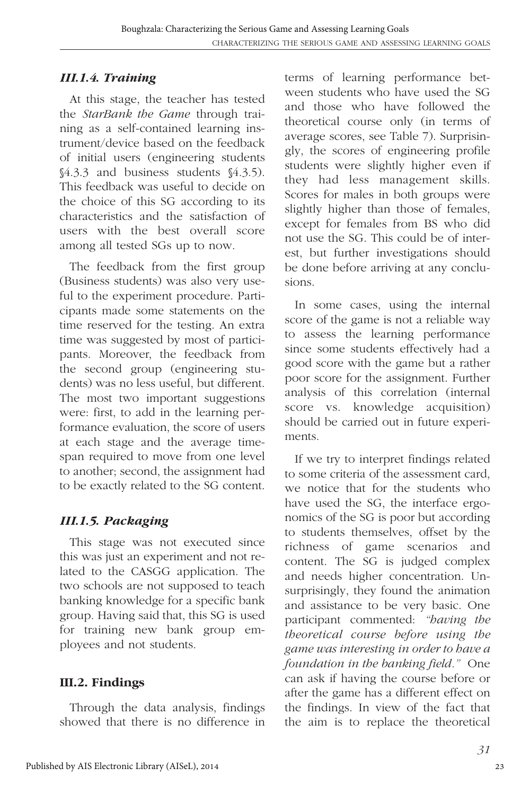#### *III.1.4. Training*

At this stage, the teacher has tested the *StarBank the Game* through training as a self-contained learning instrument/device based on the feedback of initial users (engineering students §4.3.3 and business students §4.3.5). This feedback was useful to decide on the choice of this SG according to its characteristics and the satisfaction of users with the best overall score among all tested SGs up to now.

The feedback from the first group (Business students) was also very useful to the experiment procedure. Participants made some statements on the time reserved for the testing. An extra time was suggested by most of participants. Moreover, the feedback from the second group (engineering students) was no less useful, but different. The most two important suggestions were: first, to add in the learning performance evaluation, the score of users at each stage and the average timespan required to move from one level to another; second, the assignment had to be exactly related to the SG content.

# *III.1.5. Packaging*

This stage was not executed since this was just an experiment and not related to the CASGG application. The two schools are not supposed to teach banking knowledge for a specific bank group. Having said that, this SG is used for training new bank group employees and not students.

#### **III.2. Findings**

Through the data analysis, findings showed that there is no difference in

terms of learning performance between students who have used the SG and those who have followed the theoretical course only (in terms of average scores, see Table 7). Surprisingly, the scores of engineering profile students were slightly higher even if they had less management skills. Scores for males in both groups were slightly higher than those of females, except for females from BS who did not use the SG. This could be of interest, but further investigations should be done before arriving at any conclusions.

In some cases, using the internal score of the game is not a reliable way to assess the learning performance since some students effectively had a good score with the game but a rather poor score for the assignment. Further analysis of this correlation (internal score vs. knowledge acquisition) should be carried out in future experiments.

If we try to interpret findings related to some criteria of the assessment card, we notice that for the students who have used the SG, the interface ergonomics of the SG is poor but according to students themselves, offset by the richness of game scenarios and content. The SG is judged complex and needs higher concentration. Unsurprisingly, they found the animation and assistance to be very basic. One participant commented: *"having the theoretical course before using the game was interesting in order to have a foundation in the banking field."* One can ask if having the course before or after the game has a different effect on the findings. In view of the fact that the aim is to replace the theoretical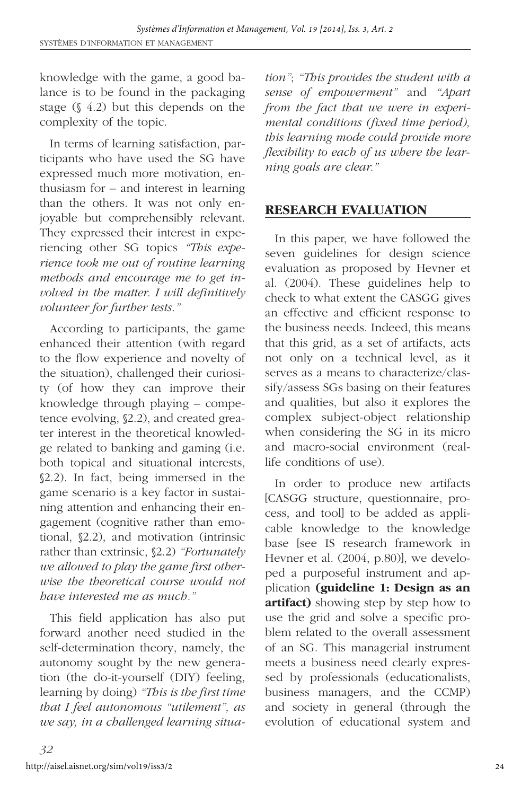knowledge with the game, a good balance is to be found in the packaging stage (§ 4.2) but this depends on the complexity of the topic.

In terms of learning satisfaction, participants who have used the SG have expressed much more motivation, enthusiasm for – and interest in learning than the others. It was not only enjoyable but comprehensibly relevant. They expressed their interest in experiencing other SG topics *"This experience took me out of routine learning methods and encourage me to get involved in the matter. I will definitively volunteer for further tests."*

According to participants, the game enhanced their attention (with regard to the flow experience and novelty of the situation), challenged their curiosity (of how they can improve their knowledge through playing – competence evolving, §2.2), and created greater interest in the theoretical knowledge related to banking and gaming (i.e. both topical and situational interests, §2.2). In fact, being immersed in the game scenario is a key factor in sustaining attention and enhancing their engagement (cognitive rather than emotional, §2.2), and motivation (intrinsic rather than extrinsic, §2.2) *"Fortunately we allowed to play the game first otherwise the theoretical course would not have interested me as much."*

This field application has also put forward another need studied in the self-determination theory, namely, the autonomy sought by the new generation (the do-it-yourself (DIY) feeling, learning by doing) *"This is the first time that I feel autonomous "utilement", as we say, in a challenged learning situa-*

*tion"*; *"This provides the student with a sense of empowerment"* and *"Apart from the fact that we were in experimental conditions (fixed time period), this learning mode could provide more flexibility to each of us where the learning goals are clear."*

#### **RESEARCH EVALUATION**

In this paper, we have followed the seven guidelines for design science evaluation as proposed by Hevner et al. (2004). These guidelines help to check to what extent the CASGG gives an effective and efficient response to the business needs. Indeed, this means that this grid, as a set of artifacts, acts not only on a technical level, as it serves as a means to characterize/classify/assess SGs basing on their features and qualities, but also it explores the complex subject-object relationship when considering the SG in its micro and macro-social environment (reallife conditions of use).

In order to produce new artifacts [CASGG structure, questionnaire, process, and tool] to be added as applicable knowledge to the knowledge base [see IS research framework in Hevner et al. (2004, p.80)], we developed a purposeful instrument and application **(guideline 1: Design as an artifact)** showing step by step how to use the grid and solve a specific problem related to the overall assessment of an SG. This managerial instrument meets a business need clearly expressed by professionals (educationalists, business managers, and the CCMP) and society in general (through the evolution of educational system and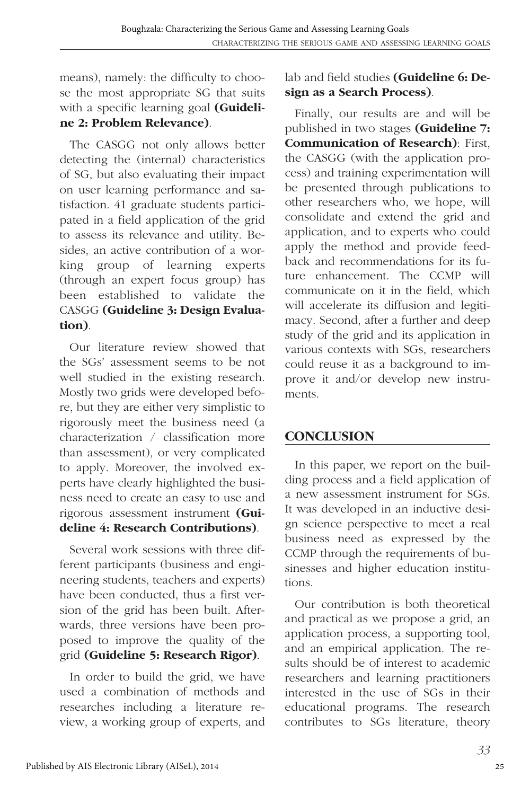means), namely: the difficulty to choose the most appropriate SG that suits with a specific learning goal **(Guideline 2: Problem Relevance)**.

The CASGG not only allows better detecting the (internal) characteristics of SG, but also evaluating their impact on user learning performance and satisfaction. 41 graduate students participated in a field application of the grid to assess its relevance and utility. Besides, an active contribution of a working group of learning experts (through an expert focus group) has been established to validate the CASGG **(Guideline 3: Design Evaluation)**.

Our literature review showed that the SGs' assessment seems to be not well studied in the existing research. Mostly two grids were developed before, but they are either very simplistic to rigorously meet the business need (a characterization / classification more than assessment), or very complicated to apply. Moreover, the involved experts have clearly highlighted the business need to create an easy to use and rigorous assessment instrument **(Guideline 4: Research Contributions)**.

Several work sessions with three different participants (business and engineering students, teachers and experts) have been conducted, thus a first version of the grid has been built. Afterwards, three versions have been proposed to improve the quality of the grid **(Guideline 5: Research Rigor)**.

In order to build the grid, we have used a combination of methods and researches including a literature review, a working group of experts, and lab and field studies **(Guideline 6: Design as a Search Process)**.

Finally, our results are and will be published in two stages **(Guideline 7: Communication of Research)**: First, the CASGG (with the application process) and training experimentation will be presented through publications to other researchers who, we hope, will consolidate and extend the grid and application, and to experts who could apply the method and provide feedback and recommendations for its future enhancement. The CCMP will communicate on it in the field, which will accelerate its diffusion and legitimacy. Second, after a further and deep study of the grid and its application in various contexts with SGs, researchers could reuse it as a background to improve it and/or develop new instruments.

# **CONCLUSION**

In this paper, we report on the building process and a field application of a new assessment instrument for SGs. It was developed in an inductive design science perspective to meet a real business need as expressed by the CCMP through the requirements of businesses and higher education institutions.

Our contribution is both theoretical and practical as we propose a grid, an application process, a supporting tool, and an empirical application. The results should be of interest to academic researchers and learning practitioners interested in the use of SGs in their educational programs. The research contributes to SGs literature, theory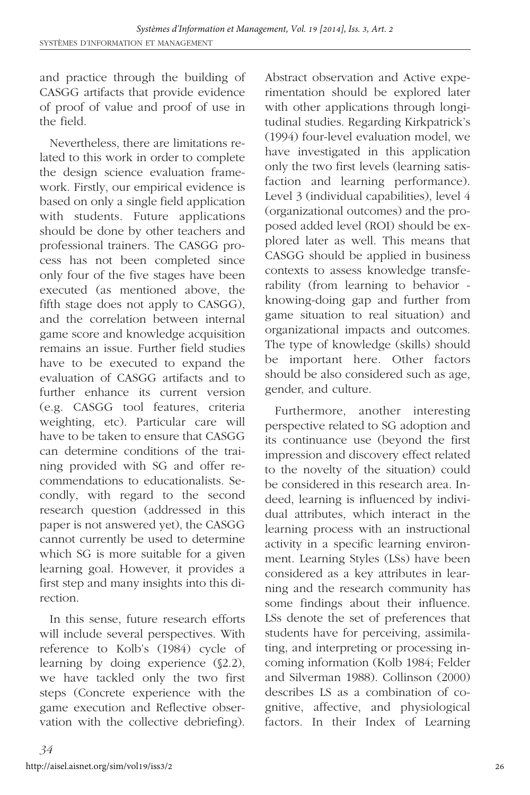and practice through the building of CASGG artifacts that provide evidence of proof of value and proof of use in the field.

Nevertheless, there are limitations related to this work in order to complete the design science evaluation framework. Firstly, our empirical evidence is based on only a single field application with students. Future applications should be done by other teachers and professional trainers. The CASGG process has not been completed since only four of the five stages have been executed (as mentioned above, the fifth stage does not apply to CASGG), and the correlation between internal game score and knowledge acquisition remains an issue. Further field studies have to be executed to expand the evaluation of CASGG artifacts and to further enhance its current version (e.g. CASGG tool features, criteria weighting, etc). Particular care will have to be taken to ensure that CASGG can determine conditions of the training provided with SG and offer recommendations to educationalists. Secondly, with regard to the second research question (addressed in this paper is not answered yet), the CASGG cannot currently be used to determine which SG is more suitable for a given learning goal. However, it provides a first step and many insights into this direction.

In this sense, future research efforts will include several perspectives. With reference to Kolb's (1984) cycle of learning by doing experience (§2.2), we have tackled only the two first steps (Concrete experience with the game execution and Reflective observation with the collective debriefing). Abstract observation and Active experimentation should be explored later with other applications through longitudinal studies. Regarding Kirkpatrick's (1994) four-level evaluation model, we have investigated in this application only the two first levels (learning satisfaction and learning performance). Level 3 (individual capabilities), level 4 (organizational outcomes) and the proposed added level (ROI) should be explored later as well. This means that CASGG should be applied in business contexts to assess knowledge transferability (from learning to behavior knowing-doing gap and further from game situation to real situation) and organizational impacts and outcomes. The type of knowledge (skills) should be important here. Other factors should be also considered such as age, gender, and culture.

Furthermore, another interesting perspective related to SG adoption and its continuance use (beyond the first impression and discovery effect related to the novelty of the situation) could be considered in this research area. Indeed, learning is influenced by individual attributes, which interact in the learning process with an instructional activity in a specific learning environment. Learning Styles (LSs) have been considered as a key attributes in learning and the research community has some findings about their influence. LSs denote the set of preferences that students have for perceiving, assimilating, and interpreting or processing incoming information (Kolb 1984; Felder and Silverman 1988). Collinson (2000) describes LS as a combination of cognitive, affective, and physiological factors. In their Index of Learning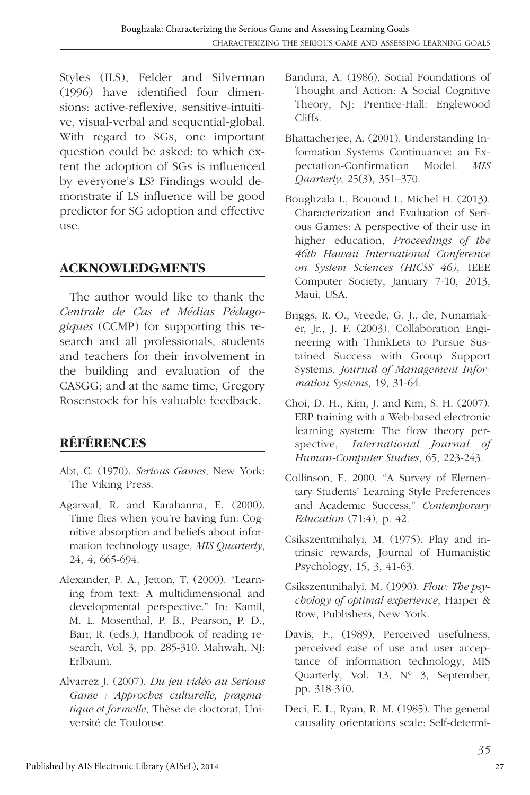Styles (ILS), Felder and Silverman (1996) have identified four dimensions: active-reflexive, sensitive-intuitive, visual-verbal and sequential-global. With regard to SGs, one important question could be asked: to which extent the adoption of SGs is influenced by everyone's LS? Findings would demonstrate if LS influence will be good predictor for SG adoption and effective use.

#### **ACKNOWLEDGMENTS**

The author would like to thank the *Centrale de Cas et Médias Pédagogiques* (CCMP) for supporting this research and all professionals, students and teachers for their involvement in the building and evaluation of the CASGG; and at the same time, Gregory Rosenstock for his valuable feedback.

# **RÉFÉRENCES**

- Abt, C. (1970). *Serious Games*, New York: The Viking Press.
- Agarwal, R. and Karahanna, E. (2000). Time flies when you're having fun: Cognitive absorption and beliefs about information technology usage, *MIS Quarterly*, 24, 4, 665-694.
- Alexander, P. A., Jetton, T. (2000). "Learning from text: A multidimensional and developmental perspective." In: Kamil, M. L. Mosenthal, P. B., Pearson, P. D., Barr, R. (eds.), Handbook of reading research, Vol. 3, pp. 285-310. Mahwah, NJ: Erlbaum.
- Alvarrez J. (2007). *Du jeu vidéo au Serious Game : Approches culturelle, pragmatique et formelle*, Thèse de doctorat, Université de Toulouse.
- Bandura, A. (1986). Social Foundations of Thought and Action: A Social Cognitive Theory, NJ: Prentice-Hall: Englewood Cliffs.
- Bhattacherjee, A. (2001). Understanding Information Systems Continuance: an Expectation-Confirmation Model. *MIS Quarterly*, 25(3), 351–370.
- Boughzala I., Bououd I., Michel H. (2013). Characterization and Evaluation of Serious Games: A perspective of their use in higher education, *Proceedings of the 46th Hawaii International Conference on System Sciences (HICSS 46)*, IEEE Computer Society, January 7-10, 2013, Maui, USA.
- Briggs, R. O., Vreede, G. J., de, Nunamaker, Jr., J. F. (2003). Collaboration Engineering with ThinkLets to Pursue Sustained Success with Group Support Systems. *Journal of Management Information Systems*, 19, 31-64.
- Choi, D. H., Kim, J. and Kim, S. H. (2007). ERP training with a Web-based electronic learning system: The flow theory perspective, *International Journal of Human-Computer Studies*, 65, 223-243.
- Collinson, E. 2000. "A Survey of Elementary Students' Learning Style Preferences and Academic Success," *Contemporary Education* (71:4), p. 42.
- Csikszentmihalyi, M. (1975). Play and intrinsic rewards, Journal of Humanistic Psychology, 15, 3, 41-63.
- Csikszentmihalyi, M. (1990). *Flow: The psychology of optimal experience*, Harper & Row, Publishers, New York.
- Davis, F., (1989), Perceived usefulness, perceived ease of use and user acceptance of information technology, MIS Quarterly, Vol. 13, N° 3, September, pp. 318-340.
- Deci, E. L., Ryan, R. M. (1985). The general causality orientations scale: Self-determi-

27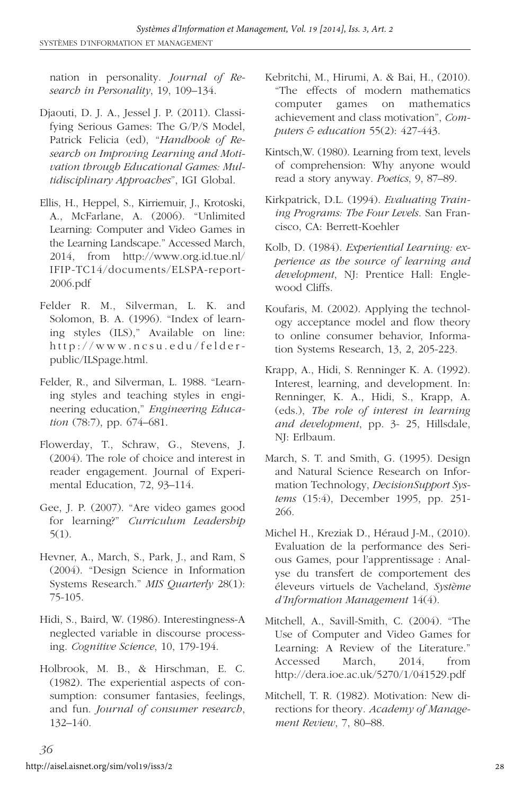nation in personality. *Journal of Research in Personality*, 19, 109–134.

- Djaouti, D. J. A., Jessel J. P. (2011). Classifying Serious Games: The G/P/S Model, Patrick Felicia (ed), "*Handbook of Research on Improving Learning and Motivation through Educational Games: Multidisciplinary Approaches*", IGI Global.
- Ellis, H., Heppel, S., Kirriemuir, J., Krotoski, A., McFarlane, A. (2006). "Unlimited Learning: Computer and Video Games in the Learning Landscape." Accessed March, 2014, from http://www.org.id.tue.nl/ IFIP-TC14/documents/ELSPA-report-2006.pdf
- Felder R. M., Silverman, L. K. and Solomon, B. A. (1996). "Index of learning styles (ILS)," Available on line: http://www.ncsu.edu/felderpublic/ILSpage.html.
- Felder, R., and Silverman, L. 1988. "Learning styles and teaching styles in engineering education," *Engineering Education* (78:7), pp. 674–681.
- Flowerday, T., Schraw, G., Stevens, J. (2004). The role of choice and interest in reader engagement. Journal of Experimental Education, 72, 93–114.
- Gee, J. P. (2007). "Are video games good for learning?" *Curriculum Leadership* 5(1).
- Hevner, A., March, S., Park, J., and Ram, S (2004). "Design Science in Information Systems Research." *MIS Quarterly* 28(1): 75-105.
- Hidi, S., Baird, W. (1986). Interestingness-A neglected variable in discourse processing. *Cognitive Science*, 10, 179-194.
- Holbrook, M. B., & Hirschman, E. C. (1982). The experiential aspects of consumption: consumer fantasies, feelings, and fun. *Journal of consumer research*, 132–140.
- Kebritchi, M., Hirumi, A. & Bai, H., (2010). "The effects of modern mathematics computer games on mathematics achievement and class motivation", *Computers & education* 55(2): 427-443.
- Kintsch,W. (1980). Learning from text, levels of comprehension: Why anyone would read a story anyway. *Poetics*, 9, 87–89.
- Kirkpatrick, D.L. (1994). *Evaluating Training Programs: The Four Levels*. San Francisco, CA: Berrett-Koehler
- Kolb, D. (1984). *Experiential Learning: experience as the source of learning and development*, NJ: Prentice Hall: Englewood Cliffs.
- Koufaris, M. (2002). Applying the technology acceptance model and flow theory to online consumer behavior, Information Systems Research, 13, 2, 205-223.
- Krapp, A., Hidi, S. Renninger K. A. (1992). Interest, learning, and development. In: Renninger, K. A., Hidi, S., Krapp, A. (eds.), *The role of interest in learning and development*, pp. 3- 25, Hillsdale, NJ: Erlbaum.
- March, S. T. and Smith, G. (1995). Design and Natural Science Research on Information Technology, *DecisionSupport Systems* (15:4), December 1995, pp. 251- 266.
- Michel H., Kreziak D., Héraud J-M., (2010). Evaluation de la performance des Serious Games, pour l'apprentissage : Analyse du transfert de comportement des éleveurs virtuels de Vacheland, *Système d'Information Management* 14(4).
- Mitchell, A., Savill-Smith, C. (2004). "The Use of Computer and Video Games for Learning: A Review of the Literature." Accessed March, 2014, from http://dera.ioe.ac.uk/5270/1/041529.pdf
- Mitchell, T. R. (1982). Motivation: New directions for theory. *Academy of Management Review*, 7, 80–88.